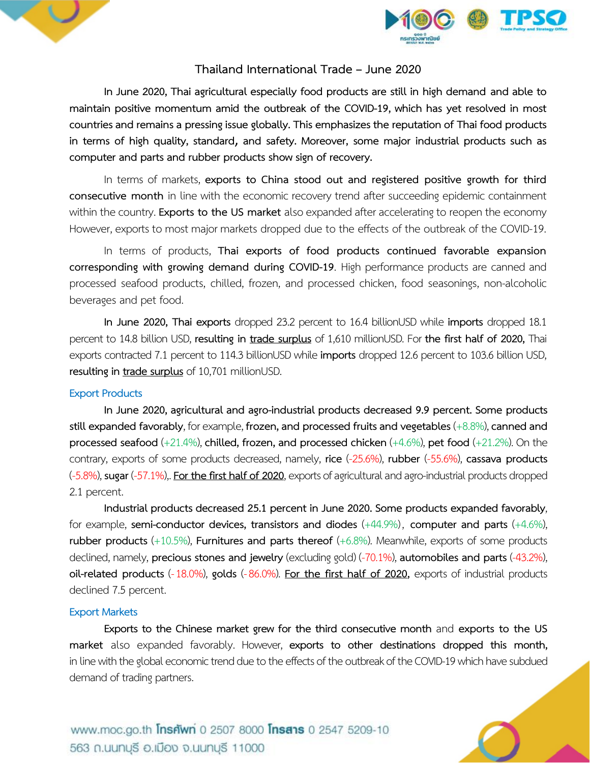



## **Thailand International Trade – June 2020**

**In June 2020, Thai agricultural especially food products are still in high demand and able to maintain positive momentum amid the outbreak of the COVID-19, which has yet resolved in most countries and remains a pressing issue globally. This emphasizes the reputation of Thai food products in terms of high quality, standard**, **and safety. Moreover, some major industrial products such as computer and parts and rubber products show sign of recovery.** 

In terms of markets, **exports to China stood out and registered positive growth for third consecutive month** in line with the economic recovery trend after succeeding epidemic containment within the country. **Exports to the US market** also expanded after accelerating to reopen the economy However, exports to most major markets dropped due to the effects of the outbreak of the COVID-19.

In terms of products, **Thai exports of food products continued favorable expansion corresponding with growing demand during COVID-19**. High performance products are canned and processed seafood products, chilled, frozen, and processed chicken, food seasonings, non-alcoholic beverages and pet food.

**In June 2020, Thai exports** dropped 23.2 percent to 16.4 billionUSD while **imports** dropped 18.1 percent to 14.8 billion USD, **resulting in trade surplus** of 1,610 millionUSD. For **the first half of 2020,** Thai exports contracted 7.1 percent to 114.3 billionUSD while **imports** dropped 12.6 percent to 103.6 billion USD, **resulting in trade surplus**of 10,701 millionUSD.

#### **Export Products**

**In June 2020, agricultural and agro-industrial products decreased 9.9 percent. Some products stillexpanded favorably**, for example, **frozen, and processed fruitsand vegetables** (+8.8%), **canned and processed seafood** (+21.4%), **chilled, frozen, and processed chicken** (+4.6%), **pet food** (+21.2%). On the contrary, exports of some products decreased, namely, **rice** (-25.6%), **rubber** (-55.6%), **cassava products** (-5.8%), **sugar** (-57.1%),. **For the first half of 2020**, exports of agricultural and agro-industrial products dropped 2.1 percent.

**Industrial products decreased 25.1 percent in June 2020. Some products expanded favorably**, for example, **semi-conductor devices, transistors and diodes** (+44.9%), **computer and parts** (+4.6%), **rubber products** (+10.5%), **Furnitures and parts thereof** (+6.8%). Meanwhile, exports of some products declined, namely, **precious stones and jewelry** (excluding gold) (-70.1%), **automobiles and parts** (-43.2%), **oil-related products** (-18.0%), **golds** (-86.0%). **For the first half of 2020,** exports of industrial products declined 7.5 percent.

#### **Export Markets**

**Exports to the Chinese market grew for the third consecutive month** and **exports to the US market** also expanded favorably. However, **exports to other destinations dropped this month,** in line with the global economic trend due to the effects of the outbreak of the COVID-19 which have subdued demand of trading partners.

www.moc.go.th **Insriwn** 0 2507 8000 **Insans** 0 2547 5209-10 563 ก.นนทบุรี อ.เมือง จ.นนทบุรี 11000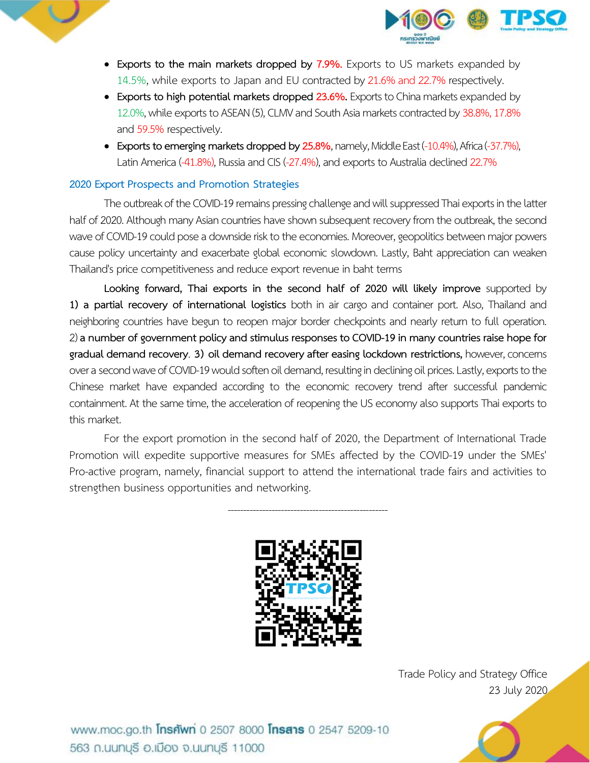



- **Exports to the main markets dropped by 7.9%.** Exports to US markets expanded by 14.5%, while exports to Japan and EU contracted by 21.6% and 22.7% respectively.
- **Exports to high potential markets dropped 23.6%.** Exports to China markets expanded by 12.0%, while exports to ASEAN (5), CLMV and South Asia markets contracted by 38.8%, 17.8% and 59.5% respectively.
- **Exports to emerging markets dropped by 25.8%,** namely, Middle East (-10.4%), Africa (-37.7%), Latin America (-41.8%), Russia and CIS (-27.4%), and exports to Australia declined 22.7%

## **2020 Export Prospects and Promotion Strategies**

The outbreak of the COVID-19 remains pressing challenge and will suppressed Thai exports in the latter half of 2020. Although many Asian countries have shown subsequent recovery from the outbreak, the second wave of COVID-19 could pose a downside risk to the economies. Moreover, geopolitics between major powers cause policy uncertainty and exacerbate global economic slowdown. Lastly, Baht appreciation can weaken Thailand's price competitiveness and reduce export revenue in baht terms

**Looking forward, Thai exports in the second half of 2020 will likely improve** supported by **1) a partial recovery of international logistics** both in air cargo and container port. Also, Thailand and neighboring countries have begun to reopen major border checkpoints and nearly return to full operation. 2) **a number of government policy and stimulus responses to COVID-19 in many countries raise hope for gradual demand recovery**. **3) oil demand recovery after easing lockdown restrictions,** however, concerns over a second wave of COVID-19 would soften oil demand, resulting in declining oil prices. Lastly, exports to the Chinese market have expanded according to the economic recovery trend after successful pandemic containment. At the same time, the acceleration of reopening the US economyalso supports Thai exports to this market.

For the export promotion in the second half of 2020, the Department of International Trade Promotion will expedite supportive measures for SMEs affected by the COVID-19 under the SMEs' Pro-active program, namely, financial support to attend the international trade fairs and activities to strengthen business opportunities and networking.

---------------------------------------------------



Trade Policy and Strategy Office 23 July 2020

www.moc.go.th **Insnwn** 0 2507 8000 **Insans** 0 2547 5209-10 563 ก.นนทบุรี อ.เมือง จ.นนทบุรี 11000